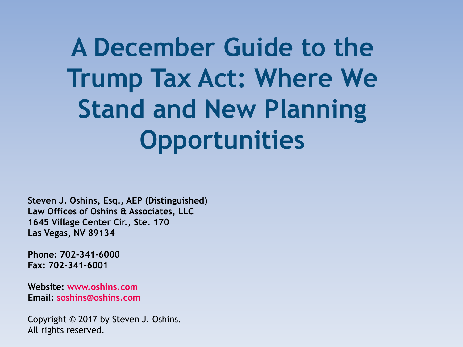**A December Guide to the Trump Tax Act: Where We Stand and New Planning Opportunities**

**Steven J. Oshins, Esq., AEP (Distinguished) Law Offices of Oshins & Associates, LLC 1645 Village Center Cir., Ste. 170 Las Vegas, NV 89134**

**Phone: 702-341-6000 Fax: 702-341-6001**

**Website: [www.oshins.com](http://www.oshins.com/) Email: [soshins@oshins.com](mailto:soshins@oshins.com)**

Copyright © 2017 by Steven J. Oshins. All rights reserved.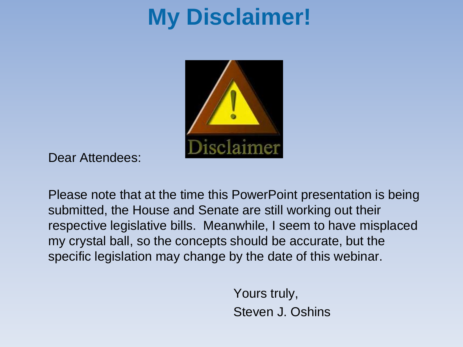## **My Disclaimer!**



Dear Attendees:

Please note that at the time this PowerPoint presentation is being submitted, the House and Senate are still working out their respective legislative bills. Meanwhile, I seem to have misplaced my crystal ball, so the concepts should be accurate, but the specific legislation may change by the date of this webinar.

> Yours truly, Steven J. Oshins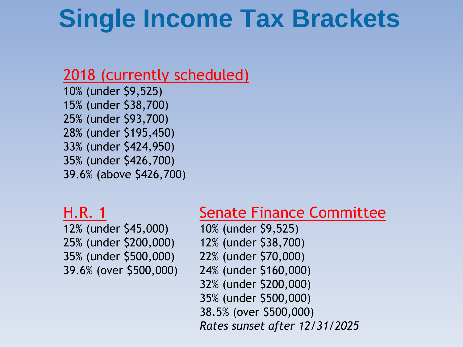## **Single Income Tax Brackets**

#### 2018 (currently scheduled)

10% (under \$9,525) 15% (under \$38,700) 25% (under \$93,700) 28% (under \$195,450) 33% (under \$424,950) 35% (under \$426,700) 39.6% (above \$426,700)

#### H.R. 1

12% (under \$45,000) 25% (under \$200,000) 35% (under \$500,000) 39.6% (over \$500,000)

#### Senate Finance Committee

10% (under \$9,525) 12% (under \$38,700) 22% (under \$70,000) 24% (under \$160,000) 32% (under \$200,000) 35% (under \$500,000) 38.5% (over \$500,000) *Rates sunset after 12/31/2025*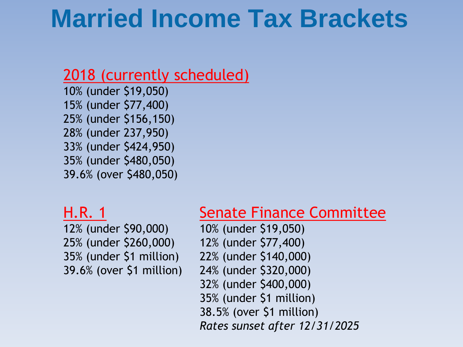## **Married Income Tax Brackets**

#### 2018 (currently scheduled)

10% (under \$19,050) 15% (under \$77,400) 25% (under \$156,150) 28% (under 237,950) 33% (under \$424,950) 35% (under \$480,050) 39.6% (over \$480,050)

#### H.R. 1

12% (under \$90,000) 25% (under \$260,000) 35% (under \$1 million) 39.6% (over \$1 million)

#### Senate Finance Committee

10% (under \$19,050) 12% (under \$77,400) 22% (under \$140,000) 24% (under \$320,000) 32% (under \$400,000) 35% (under \$1 million) 38.5% (over \$1 million) *Rates sunset after 12/31/2025*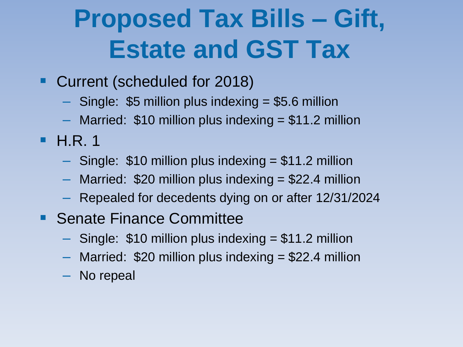# **Proposed Tax Bills – Gift, Estate and GST Tax**

- Current (scheduled for 2018)
	- Single: \$5 million plus indexing = \$5.6 million
	- $-$  Married: \$10 million plus indexing  $= $11.2$  million
- $\blacksquare$  H.R. 1
	- $-$  Single: \$10 million plus indexing  $= $11.2$  million
	- $-$  Married: \$20 million plus indexing  $=$  \$22.4 million
	- Repealed for decedents dying on or after 12/31/2024
- **Senate Finance Committee** 
	- $-$  Single: \$10 million plus indexing  $= $11.2$  million
	- $-$  Married: \$20 million plus indexing  $= $22.4$  million
	- No repeal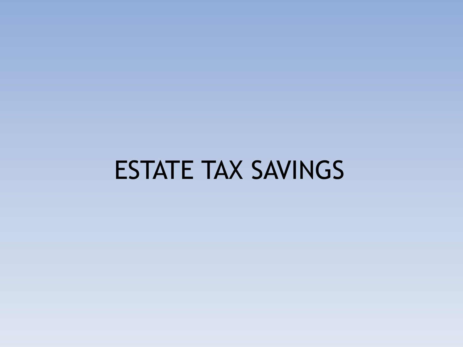# ESTATE TAX SAVINGS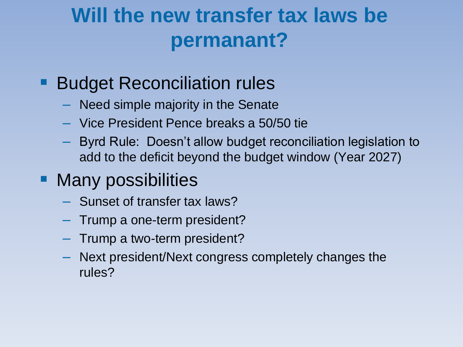### **Will the new transfer tax laws be permanant?**

#### Budget Reconciliation rules

- Need simple majority in the Senate
- Vice President Pence breaks a 50/50 tie
- Byrd Rule: Doesn't allow budget reconciliation legislation to add to the deficit beyond the budget window (Year 2027)

#### Many possibilities

- Sunset of transfer tax laws?
- Trump a one-term president?
- Trump a two-term president?
- Next president/Next congress completely changes the rules?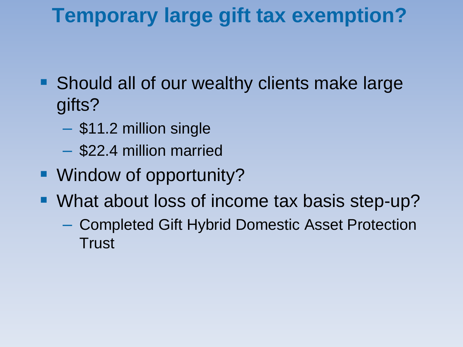### **Temporary large gift tax exemption?**

- Should all of our wealthy clients make large gifts?
	- \$11.2 million single
	- \$22.4 million married
- Window of opportunity?
- What about loss of income tax basis step-up?
	- Completed Gift Hybrid Domestic Asset Protection **Trust**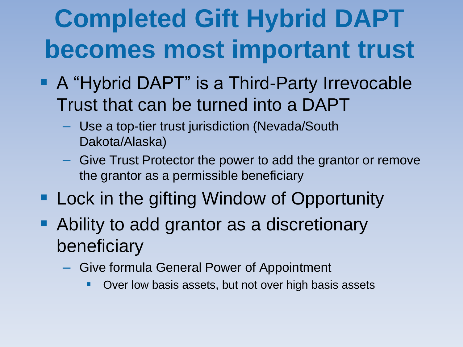# **Completed Gift Hybrid DAPT becomes most important trust**

- A "Hybrid DAPT" is a Third-Party Irrevocable Trust that can be turned into a DAPT
	- Use a top-tier trust jurisdiction (Nevada/South Dakota/Alaska)
	- Give Trust Protector the power to add the grantor or remove the grantor as a permissible beneficiary
- **Lock in the gifting Window of Opportunity**
- **Ability to add grantor as a discretionary** beneficiary
	- Give formula General Power of Appointment
		- Over low basis assets, but not over high basis assets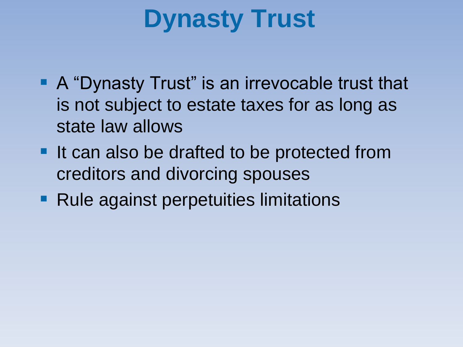# **Dynasty Trust**

- A "Dynasty Trust" is an irrevocable trust that is not subject to estate taxes for as long as state law allows
- It can also be drafted to be protected from creditors and divorcing spouses
- **Rule against perpetuities limitations**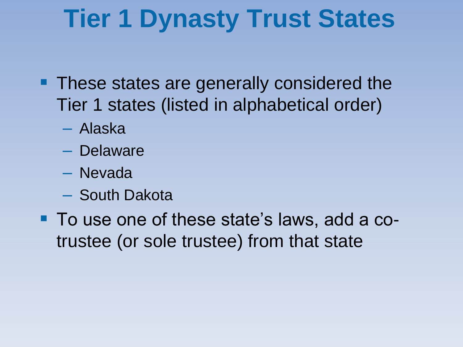# **Tier 1 Dynasty Trust States**

- **These states are generally considered the** Tier 1 states (listed in alphabetical order)
	- Alaska
	- Delaware
	- Nevada
	- South Dakota
- To use one of these state's laws, add a cotrustee (or sole trustee) from that state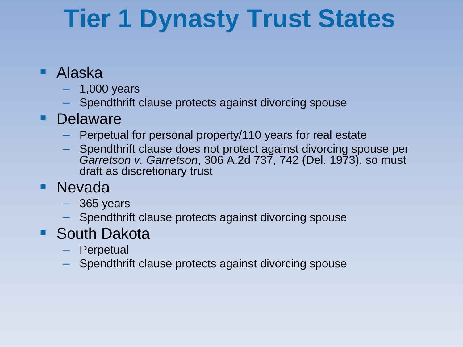# **Tier 1 Dynasty Trust States**

- Alaska
	- $-$  1,000 years
	- Spendthrift clause protects against divorcing spouse

#### **Delaware**

- Perpetual for personal property/110 years for real estate
- Spendthrift clause does not protect against divorcing spouse per *Garretson v. Garretson*, 306 A.2d 737, 742 (Del. 1973), so must draft as discretionary trust
- **Nevada** 
	- $-$  365 years
	- Spendthrift clause protects against divorcing spouse
- **South Dakota** 
	- Perpetual
	- Spendthrift clause protects against divorcing spouse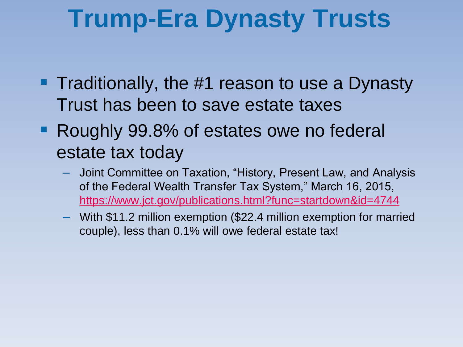## **Trump-Era Dynasty Trusts**

- **Traditionally, the #1 reason to use a Dynasty** Trust has been to save estate taxes
- **Roughly 99.8% of estates owe no federal** estate tax today
	- Joint Committee on Taxation, "History, Present Law, and Analysis of the Federal Wealth Transfer Tax System," March 16, 2015, <https://www.jct.gov/publications.html?func=startdown&id=4744>
	- With \$11.2 million exemption (\$22.4 million exemption for married couple), less than 0.1% will owe federal estate tax!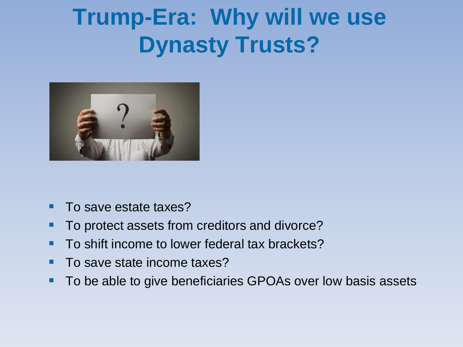## **Trump-Era: Why will we use Dynasty Trusts?**



- To save estate taxes?
- To protect assets from creditors and divorce?
- To shift income to lower federal tax brackets?
- To save state income taxes?
- To be able to give beneficiaries GPOAs over low basis assets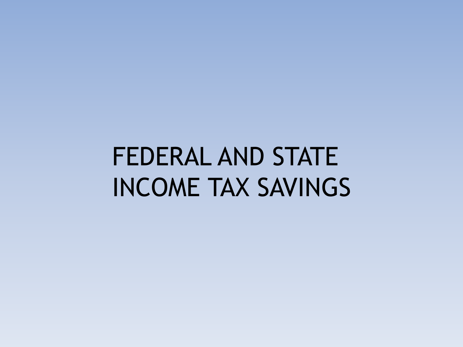# FEDERAL AND STATE INCOME TAX SAVINGS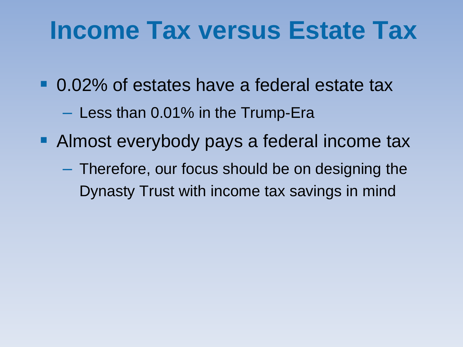## **Income Tax versus Estate Tax**

- 0.02% of estates have a federal estate tax
	- Less than 0.01% in the Trump-Era
- **Almost everybody pays a federal income tax** 
	- Therefore, our focus should be on designing the Dynasty Trust with income tax savings in mind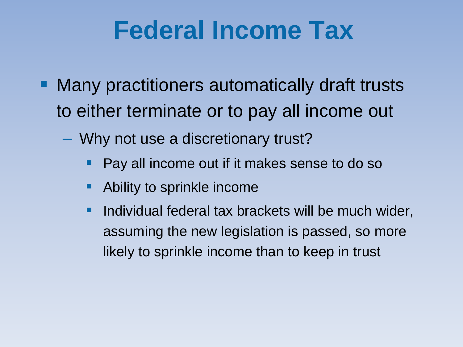# **Federal Income Tax**

- Many practitioners automatically draft trusts to either terminate or to pay all income out
	- Why not use a discretionary trust?
		- Pay all income out if it makes sense to do so
		- Ability to sprinkle income
		- Individual federal tax brackets will be much wider, assuming the new legislation is passed, so more likely to sprinkle income than to keep in trust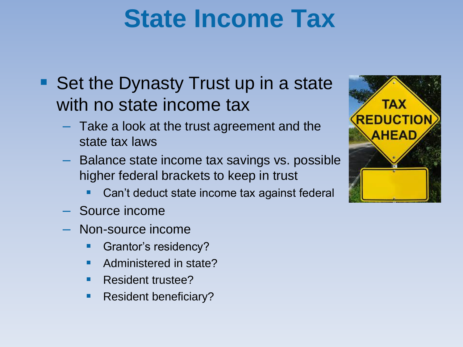# **State Income Tax**

- Set the Dynasty Trust up in a state with no state income tax
	- Take a look at the trust agreement and the state tax laws
	- Balance state income tax savings vs. possible higher federal brackets to keep in trust
		- Can't deduct state income tax against federal
	- Source income
	- Non-source income
		- Grantor's residency?
		- **Administered in state?**
		- Resident trustee?
		- **Resident beneficiary?**

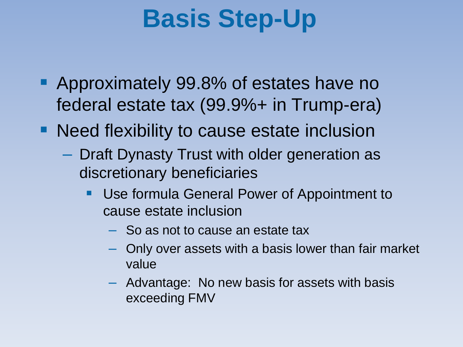# **Basis Step-Up**

- **Approximately 99.8% of estates have no** federal estate tax (99.9%+ in Trump-era)
- **Need flexibility to cause estate inclusion** 
	- Draft Dynasty Trust with older generation as discretionary beneficiaries
		- Use formula General Power of Appointment to cause estate inclusion
			- So as not to cause an estate tax
			- Only over assets with a basis lower than fair market value
			- Advantage: No new basis for assets with basis exceeding FMV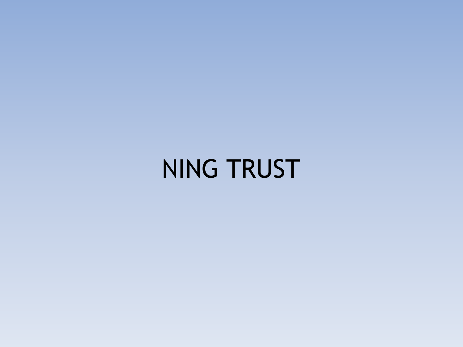NING TRUST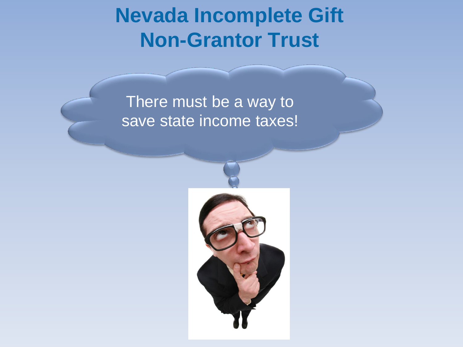#### **Nevada Incomplete Gift Non-Grantor Trust**

#### There must be a way to save state income taxes!

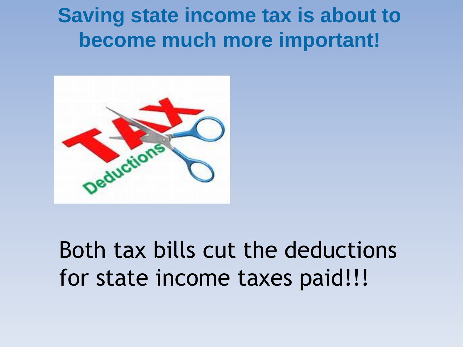#### **Saving state income tax is about to become much more important!**



## Both tax bills cut the deductions for state income taxes paid!!!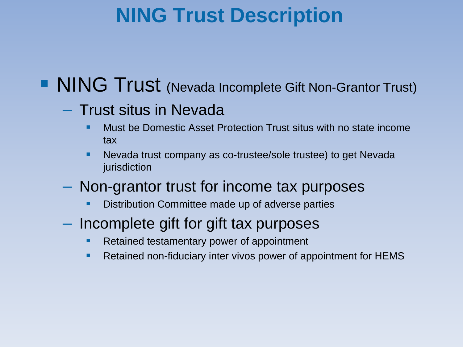#### **NING Trust Description**

#### **NING Trust** (Nevada Incomplete Gift Non-Grantor Trust)

#### – Trust situs in Nevada

- Must be Domestic Asset Protection Trust situs with no state income tax
- Nevada trust company as co-trustee/sole trustee) to get Nevada jurisdiction
- Non-grantor trust for income tax purposes
	- Distribution Committee made up of adverse parties
- Incomplete gift for gift tax purposes
	- Retained testamentary power of appointment
	- **Retained non-fiduciary inter vivos power of appointment for HEMS**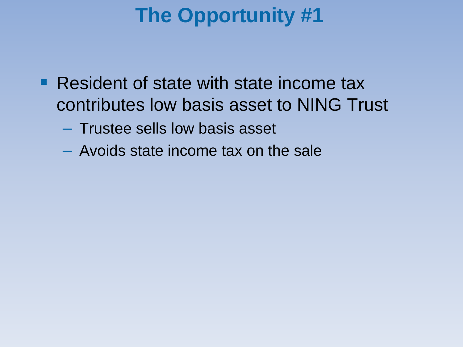### **The Opportunity #1**

- **Resident of state with state income tax** contributes low basis asset to NING Trust
	- Trustee sells low basis asset
	- Avoids state income tax on the sale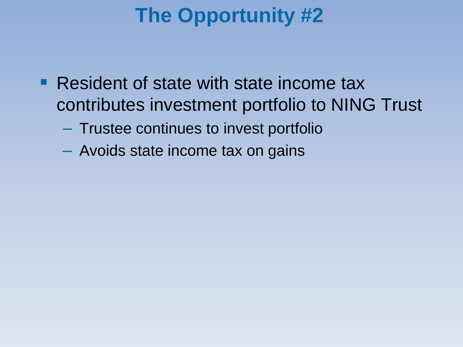### **The Opportunity #2**

- Resident of state with state income tax contributes investment portfolio to NING Trust
	- Trustee continues to invest portfolio
	- Avoids state income tax on gains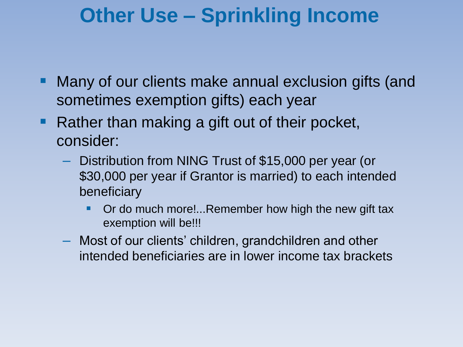#### **Other Use – Sprinkling Income**

- **Many of our clients make annual exclusion gifts (and** sometimes exemption gifts) each year
- Rather than making a gift out of their pocket, consider:
	- Distribution from NING Trust of \$15,000 per year (or \$30,000 per year if Grantor is married) to each intended beneficiary
		- Or do much more!...Remember how high the new gift tax exemption will be!!!
	- Most of our clients' children, grandchildren and other intended beneficiaries are in lower income tax brackets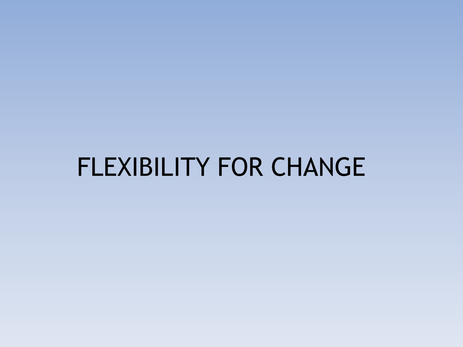## FLEXIBILITY FOR CHANGE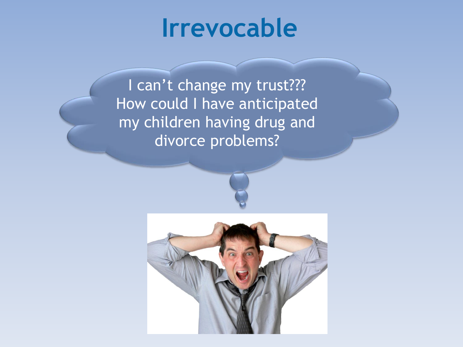## **Irrevocable**

I can't change my trust??? How could I have anticipated my children having drug and divorce problems?

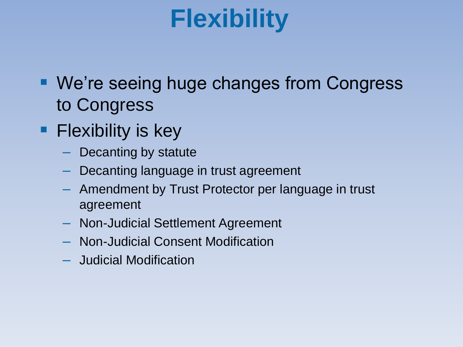# **Flexibility**

- We're seeing huge changes from Congress to Congress
- **Flexibility is key** 
	- Decanting by statute
	- Decanting language in trust agreement
	- Amendment by Trust Protector per language in trust agreement
	- Non-Judicial Settlement Agreement
	- Non-Judicial Consent Modification
	- Judicial Modification